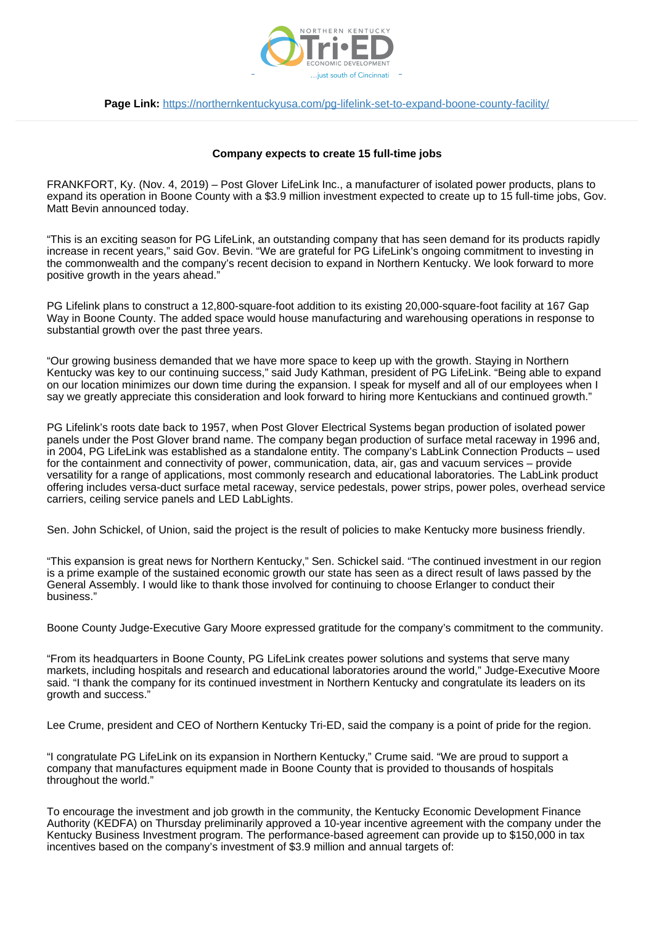

**Page Link:** <https://northernkentuckyusa.com/pg-lifelink-set-to-expand-boone-county-facility/>

## **Company expects to create 15 full-time jobs**

FRANKFORT, Ky. (Nov. 4, 2019) – Post Glover LifeLink Inc., a manufacturer of isolated power products, plans to expand its operation in Boone County with a \$3.9 million investment expected to create up to 15 full-time jobs, Gov. Matt Bevin announced today.

"This is an exciting season for PG LifeLink, an outstanding company that has seen demand for its products rapidly increase in recent years," said Gov. Bevin. "We are grateful for PG LifeLink's ongoing commitment to investing in the commonwealth and the company's recent decision to expand in Northern Kentucky. We look forward to more positive growth in the years ahead."

PG Lifelink plans to construct a 12,800-square-foot addition to its existing 20,000-square-foot facility at 167 Gap Way in Boone County. The added space would house manufacturing and warehousing operations in response to substantial growth over the past three years.

"Our growing business demanded that we have more space to keep up with the growth. Staying in Northern Kentucky was key to our continuing success," said Judy Kathman, president of PG LifeLink. "Being able to expand on our location minimizes our down time during the expansion. I speak for myself and all of our employees when I say we greatly appreciate this consideration and look forward to hiring more Kentuckians and continued growth."

PG Lifelink's roots date back to 1957, when Post Glover Electrical Systems began production of isolated power panels under the Post Glover brand name. The company began production of surface metal raceway in 1996 and, in 2004, PG LifeLink was established as a standalone entity. The company's LabLink Connection Products – used for the containment and connectivity of power, communication, data, air, gas and vacuum services – provide versatility for a range of applications, most commonly research and educational laboratories. The LabLink product offering includes versa-duct surface metal raceway, service pedestals, power strips, power poles, overhead service carriers, ceiling service panels and LED LabLights.

Sen. John Schickel, of Union, said the project is the result of policies to make Kentucky more business friendly.

"This expansion is great news for Northern Kentucky," Sen. Schickel said. "The continued investment in our region is a prime example of the sustained economic growth our state has seen as a direct result of laws passed by the General Assembly. I would like to thank those involved for continuing to choose Erlanger to conduct their business."

Boone County Judge-Executive Gary Moore expressed gratitude for the company's commitment to the community.

"From its headquarters in Boone County, PG LifeLink creates power solutions and systems that serve many markets, including hospitals and research and educational laboratories around the world," Judge-Executive Moore said. "I thank the company for its continued investment in Northern Kentucky and congratulate its leaders on its growth and success."

Lee Crume, president and CEO of Northern Kentucky Tri-ED, said the company is a point of pride for the region.

"I congratulate PG LifeLink on its expansion in Northern Kentucky," Crume said. "We are proud to support a company that manufactures equipment made in Boone County that is provided to thousands of hospitals throughout the world."

To encourage the investment and job growth in the community, the Kentucky Economic Development Finance Authority (KEDFA) on Thursday preliminarily approved a 10-year incentive agreement with the company under the Kentucky Business Investment program. The performance-based agreement can provide up to \$150,000 in tax incentives based on the company's investment of \$3.9 million and annual targets of: